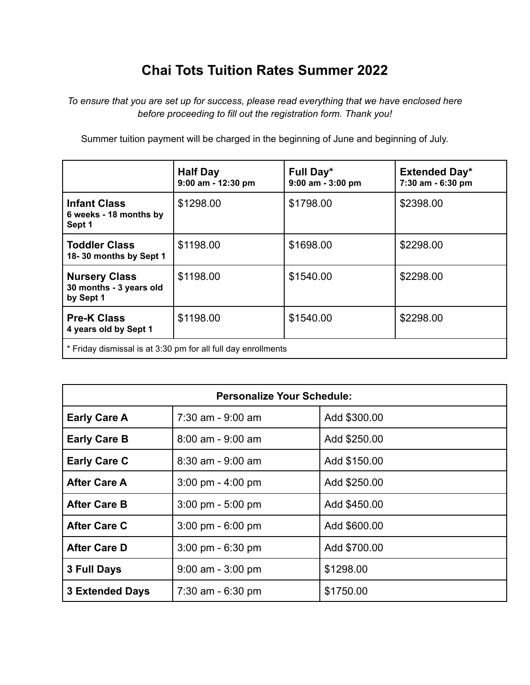## **Chai Tots Tuition Rates Summer 2022**

*To ensure that you are set up for success, please read everything that we have enclosed here before proceeding to fill out the registration form. Thank you!*

Summer tuition payment will be charged in the beginning of June and beginning of July.

|                                                               | <b>Half Day</b><br>9:00 am - 12:30 pm | Full Day*<br>$9:00$ am - $3:00$ pm | <b>Extended Day*</b><br>7:30 am - 6:30 pm |
|---------------------------------------------------------------|---------------------------------------|------------------------------------|-------------------------------------------|
| <b>Infant Class</b><br>6 weeks - 18 months by<br>Sept 1       | \$1298.00                             | \$1798.00                          | \$2398.00                                 |
| <b>Toddler Class</b><br>18-30 months by Sept 1                | \$1198.00                             | \$1698.00                          | \$2298.00                                 |
| <b>Nursery Class</b><br>30 months - 3 years old<br>by Sept 1  | \$1198.00                             | \$1540.00                          | \$2298.00                                 |
| <b>Pre-K Class</b><br>4 years old by Sept 1                   | \$1198.00                             | \$1540.00                          | \$2298.00                                 |
| * Friday dismissal is at 3:30 pm for all full day enrollments |                                       |                                    |                                           |

| <b>Personalize Your Schedule:</b> |                                     |              |  |
|-----------------------------------|-------------------------------------|--------------|--|
| <b>Early Care A</b>               | 7:30 am - 9:00 am                   | Add \$300.00 |  |
| <b>Early Care B</b>               | $8:00$ am - 9:00 am                 | Add \$250.00 |  |
| <b>Early Care C</b>               | $8:30$ am - $9:00$ am               | Add \$150.00 |  |
| <b>After Care A</b>               | $3.00 \text{ pm} - 4.00 \text{ pm}$ | Add \$250.00 |  |
| <b>After Care B</b>               | $3.00 \text{ pm} - 5.00 \text{ pm}$ | Add \$450.00 |  |
| <b>After Care C</b>               | $3:00 \text{ pm} - 6:00 \text{ pm}$ | Add \$600.00 |  |
| <b>After Care D</b>               | $3.00 \text{ pm} - 6.30 \text{ pm}$ | Add \$700.00 |  |
| 3 Full Days                       | $9:00$ am $-3:00$ pm                | \$1298.00    |  |
| <b>3 Extended Days</b>            | $7:30$ am - 6:30 pm                 | \$1750.00    |  |